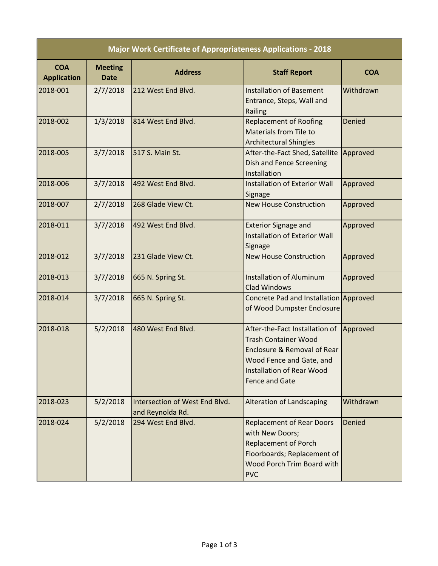| <b>Major Work Certificate of Appropriateness Applications - 2018</b> |                               |                                                    |                                                                                                                                                                                       |               |  |  |
|----------------------------------------------------------------------|-------------------------------|----------------------------------------------------|---------------------------------------------------------------------------------------------------------------------------------------------------------------------------------------|---------------|--|--|
| <b>COA</b><br><b>Application</b>                                     | <b>Meeting</b><br><b>Date</b> | <b>Address</b>                                     | <b>Staff Report</b>                                                                                                                                                                   | <b>COA</b>    |  |  |
| 2018-001                                                             | 2/7/2018                      | 212 West End Blvd.                                 | <b>Installation of Basement</b><br>Entrance, Steps, Wall and<br>Railing                                                                                                               | Withdrawn     |  |  |
| 2018-002                                                             | 1/3/2018                      | 814 West End Blvd.                                 | <b>Replacement of Roofing</b><br>Materials from Tile to<br><b>Architectural Shingles</b>                                                                                              | Denied        |  |  |
| 2018-005                                                             | 3/7/2018                      | 517 S. Main St.                                    | After-the-Fact Shed, Satellite<br>Dish and Fence Screening<br>Installation                                                                                                            | Approved      |  |  |
| 2018-006                                                             | 3/7/2018                      | 492 West End Blvd.                                 | <b>Installation of Exterior Wall</b><br>Signage                                                                                                                                       | Approved      |  |  |
| 2018-007                                                             | 2/7/2018                      | 268 Glade View Ct.                                 | <b>New House Construction</b>                                                                                                                                                         | Approved      |  |  |
| 2018-011                                                             | 3/7/2018                      | 492 West End Blvd.                                 | <b>Exterior Signage and</b><br>Installation of Exterior Wall<br>Signage                                                                                                               | Approved      |  |  |
| 2018-012                                                             | 3/7/2018                      | 231 Glade View Ct.                                 | <b>New House Construction</b>                                                                                                                                                         | Approved      |  |  |
| 2018-013                                                             | 3/7/2018                      | 665 N. Spring St.                                  | <b>Installation of Aluminum</b><br><b>Clad Windows</b>                                                                                                                                | Approved      |  |  |
| 2018-014                                                             | 3/7/2018                      | 665 N. Spring St.                                  | Concrete Pad and Installation Approved<br>of Wood Dumpster Enclosure                                                                                                                  |               |  |  |
| 2018-018                                                             | 5/2/2018                      | 480 West End Blvd.                                 | After-the-Fact Installation of<br><b>Trash Container Wood</b><br>Enclosure & Removal of Rear<br>Wood Fence and Gate, and<br><b>Installation of Rear Wood</b><br><b>Fence and Gate</b> | Approved      |  |  |
| 2018-023                                                             | 5/2/2018                      | Intersection of West End Blyd.<br>and Reynolda Rd. | <b>Alteration of Landscaping</b>                                                                                                                                                      | Withdrawn     |  |  |
| 2018-024                                                             | 5/2/2018                      | 294 West End Blvd.                                 | <b>Replacement of Rear Doors</b><br>with New Doors;<br><b>Replacement of Porch</b><br>Floorboards; Replacement of<br>Wood Porch Trim Board with<br><b>PVC</b>                         | <b>Denied</b> |  |  |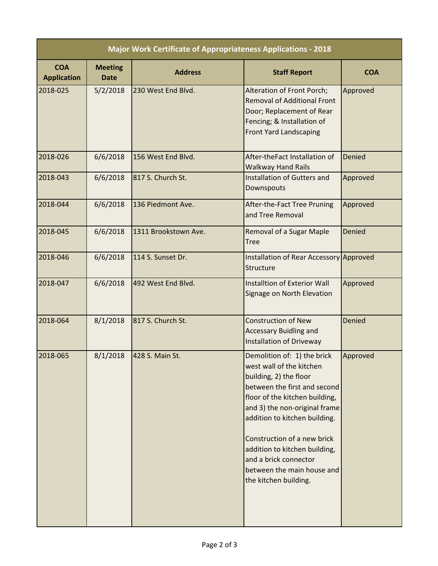| <b>Major Work Certificate of Appropriateness Applications - 2018</b> |                               |                      |                                                                                                                                                                                                                                                                                                                                                                       |               |  |  |  |
|----------------------------------------------------------------------|-------------------------------|----------------------|-----------------------------------------------------------------------------------------------------------------------------------------------------------------------------------------------------------------------------------------------------------------------------------------------------------------------------------------------------------------------|---------------|--|--|--|
| <b>COA</b><br><b>Application</b>                                     | <b>Meeting</b><br><b>Date</b> | <b>Address</b>       | <b>Staff Report</b>                                                                                                                                                                                                                                                                                                                                                   | <b>COA</b>    |  |  |  |
| 2018-025                                                             | 5/2/2018                      | 230 West End Blvd.   | Alteration of Front Porch;<br><b>Removal of Additional Front</b><br>Door; Replacement of Rear<br>Fencing; & Installation of<br><b>Front Yard Landscaping</b>                                                                                                                                                                                                          | Approved      |  |  |  |
| 2018-026                                                             | 6/6/2018                      | 156 West End Blvd.   | After-theFact Installation of<br><b>Walkway Hand Rails</b>                                                                                                                                                                                                                                                                                                            | <b>Denied</b> |  |  |  |
| 2018-043                                                             | 6/6/2018                      | 817 S. Church St.    | Installation of Gutters and<br>Downspouts                                                                                                                                                                                                                                                                                                                             | Approved      |  |  |  |
| 2018-044                                                             | 6/6/2018                      | 136 Piedmont Ave.    | After-the-Fact Tree Pruning<br>and Tree Removal                                                                                                                                                                                                                                                                                                                       | Approved      |  |  |  |
| 2018-045                                                             | 6/6/2018                      | 1311 Brookstown Ave. | Removal of a Sugar Maple<br><b>Tree</b>                                                                                                                                                                                                                                                                                                                               | <b>Denied</b> |  |  |  |
| 2018-046                                                             | 6/6/2018                      | 114 S. Sunset Dr.    | Installation of Rear Accessory Approved<br>Structure                                                                                                                                                                                                                                                                                                                  |               |  |  |  |
| 2018-047                                                             | 6/6/2018                      | 492 West End Blvd.   | <b>Installtion of Exterior Wall</b><br>Signage on North Elevation                                                                                                                                                                                                                                                                                                     | Approved      |  |  |  |
| 2018-064                                                             | 8/1/2018                      | 817 S. Church St.    | <b>Construction of New</b><br><b>Accessary Buidling and</b><br>Installation of Driveway                                                                                                                                                                                                                                                                               | <b>Denied</b> |  |  |  |
| 2018-065                                                             | 8/1/2018                      | 428 S. Main St.      | Demolition of: 1) the brick<br>west wall of the kitchen<br>building, 2) the floor<br>between the first and second<br>floor of the kitchen building,<br>and 3) the non-original frame<br>addition to kitchen building.<br>Construction of a new brick<br>addition to kitchen building,<br>and a brick connector<br>between the main house and<br>the kitchen building. | Approved      |  |  |  |